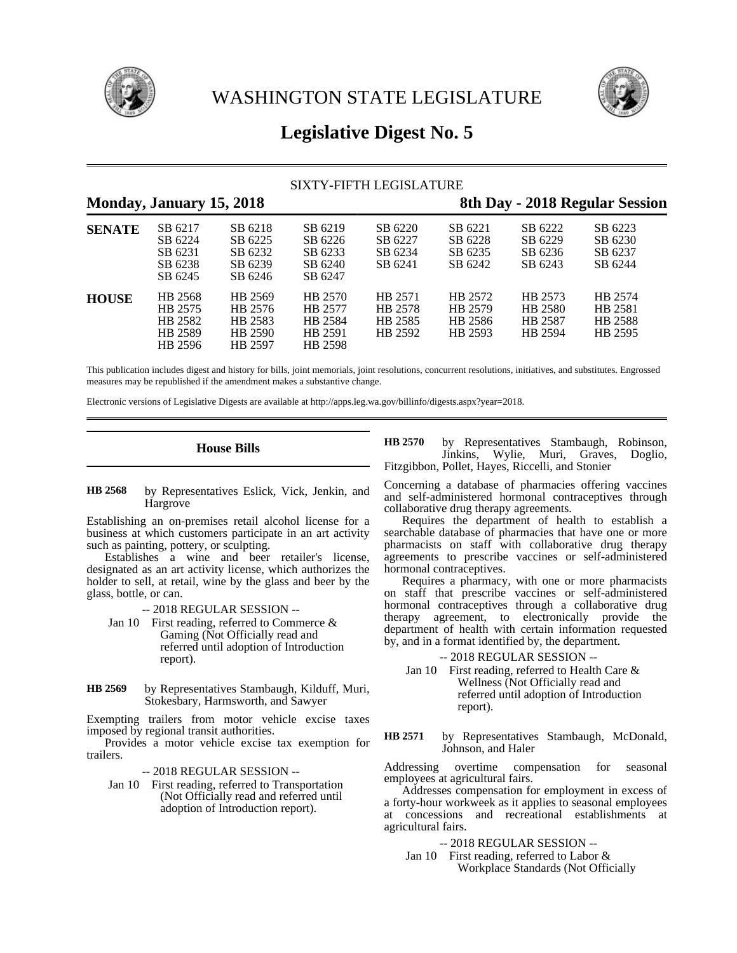



# **Legislative Digest No. 5**

# SIXTY-FIFTH LEGISLATURE

# **Monday, January 15, 2018 8th Day - 2018 Regular Session SENATE** SB 6217 SB 6218 SB 6219 SB 6220 SB 6221 SB 6222 SB 6223 SB 6224 SB 6225 SB 6226 SB 6227 SB 6228 SB 6229 SB 6230 SB 6231 SB 6232 SB 6233 SB 6234 SB 6235 SB 6236 SB 6237 SB 6238 SB 6239 SB 6240 SB 6241 SB 6242 SB 6243 SB 6244 SB 6245 SB 6246 SB 6247 **HOUSE** HB 2568 HB 2569 HB 2570 HB 2571 HB 2572 HB 2573 HB 2574 HB 2575 HB 2576 HB 2577 HB 2578 HB 2579 HB 2580 HB 2581 HB 2582 HB 2583 HB 2584 HB 2585 HB 2586 HB 2587 HB 2588 HB 2589 HB 2590 HB 2591 HB 2592 HB 2593 HB 2594 HB 2595 HB 2596 HB 2597 HB 2598

This publication includes digest and history for bills, joint memorials, joint resolutions, concurrent resolutions, initiatives, and substitutes. Engrossed measures may be republished if the amendment makes a substantive change.

Electronic versions of Legislative Digests are available at http://apps.leg.wa.gov/billinfo/digests.aspx?year=2018.

# **House Bills**

by Representatives Eslick, Vick, Jenkin, and **Hargrove HB 2568**

Establishing an on-premises retail alcohol license for a business at which customers participate in an art activity such as painting, pottery, or sculpting.

Establishes a wine and beer retailer's license, designated as an art activity license, which authorizes the holder to sell, at retail, wine by the glass and beer by the glass, bottle, or can.

- -- 2018 REGULAR SESSION --
- Jan 10 First reading, referred to Commerce & Gaming (Not Officially read and referred until adoption of Introduction report).
- by Representatives Stambaugh, Kilduff, Muri, Stokesbary, Harmsworth, and Sawyer **HB 2569**

Exempting trailers from motor vehicle excise taxes imposed by regional transit authorities.

Provides a motor vehicle excise tax exemption for trailers.

- -- 2018 REGULAR SESSION --
- Jan 10 First reading, referred to Transportation (Not Officially read and referred until adoption of Introduction report).

by Representatives Stambaugh, Robinson,<br>Jinkins, Wylie, Muri, Graves, Doglio, Jinkins, Wylie, Muri, Graves, Fitzgibbon, Pollet, Hayes, Riccelli, and Stonier **HB 2570**

Concerning a database of pharmacies offering vaccines and self-administered hormonal contraceptives through collaborative drug therapy agreements.

Requires the department of health to establish a searchable database of pharmacies that have one or more pharmacists on staff with collaborative drug therapy agreements to prescribe vaccines or self-administered hormonal contraceptives.

Requires a pharmacy, with one or more pharmacists on staff that prescribe vaccines or self-administered hormonal contraceptives through a collaborative drug therapy agreement, to electronically provide the department of health with certain information requested by, and in a format identified by, the department.

-- 2018 REGULAR SESSION --

Jan 10 First reading, referred to Health Care & Wellness (Not Officially read and referred until adoption of Introduction report).

by Representatives Stambaugh, McDonald, Johnson, and Haler **HB 2571**

Addressing overtime compensation for seasonal employees at agricultural fairs.

Addresses compensation for employment in excess of a forty-hour workweek as it applies to seasonal employees at concessions and recreational establishments at agricultural fairs.

-- 2018 REGULAR SESSION --

Jan 10 First reading, referred to Labor & Workplace Standards (Not Officially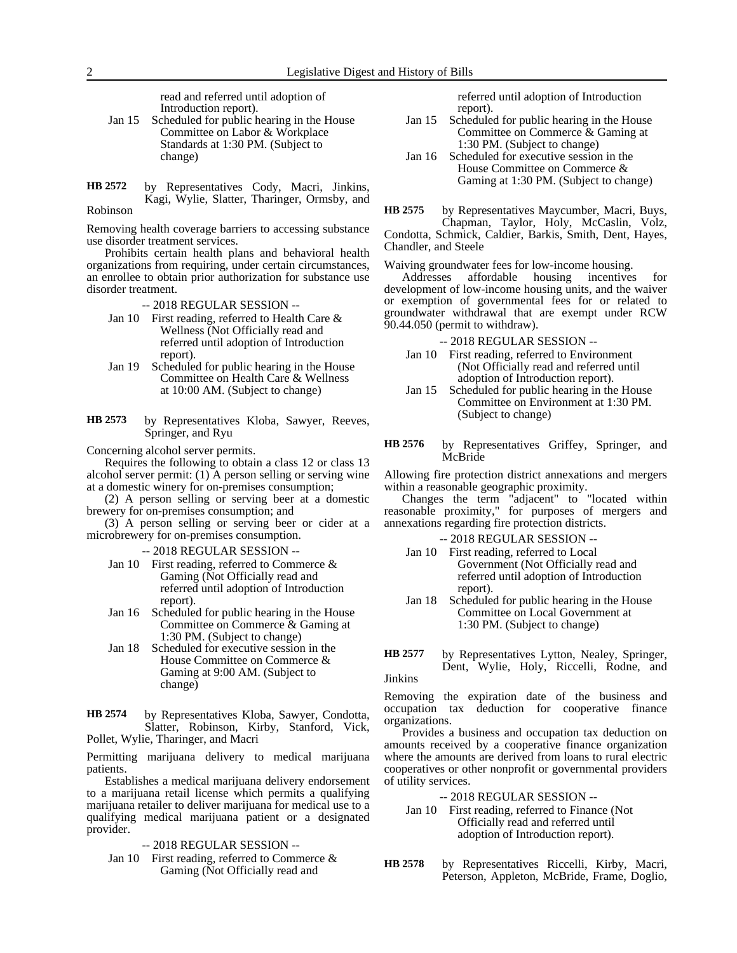read and referred until adoption of Introduction report).

- Jan 15 Scheduled for public hearing in the House Committee on Labor & Workplace Standards at 1:30 PM. (Subject to change)
- by Representatives Cody, Macri, Jinkins, Kagi, Wylie, Slatter, Tharinger, Ormsby, and Robinson **HB 2572**

Removing health coverage barriers to accessing substance use disorder treatment services.

Prohibits certain health plans and behavioral health organizations from requiring, under certain circumstances, an enrollee to obtain prior authorization for substance use disorder treatment.

-- 2018 REGULAR SESSION --

- Jan 10 First reading, referred to Health Care & Wellness (Not Officially read and referred until adoption of Introduction report).
- Jan 19 Scheduled for public hearing in the House Committee on Health Care & Wellness at 10:00 AM. (Subject to change)
- by Representatives Kloba, Sawyer, Reeves, Springer, and Ryu **HB 2573**

Concerning alcohol server permits.

Requires the following to obtain a class 12 or class 13 alcohol server permit: (1) A person selling or serving wine at a domestic winery for on-premises consumption;

(2) A person selling or serving beer at a domestic brewery for on-premises consumption; and

(3) A person selling or serving beer or cider at a microbrewery for on-premises consumption.

-- 2018 REGULAR SESSION --

- Jan 10 First reading, referred to Commerce & Gaming (Not Officially read and referred until adoption of Introduction report).
- Jan 16 Scheduled for public hearing in the House Committee on Commerce & Gaming at 1:30 PM. (Subject to change)
- Jan 18 Scheduled for executive session in the House Committee on Commerce & Gaming at 9:00 AM. (Subject to change)

by Representatives Kloba, Sawyer, Condotta, Slatter, Robinson, Kirby, Stanford, Vick, Pollet, Wylie, Tharinger, and Macri **HB 2574**

Permitting marijuana delivery to medical marijuana patients.

Establishes a medical marijuana delivery endorsement to a marijuana retail license which permits a qualifying marijuana retailer to deliver marijuana for medical use to a qualifying medical marijuana patient or a designated provider.

-- 2018 REGULAR SESSION --

Jan 10 First reading, referred to Commerce  $\&$ Gaming (Not Officially read and

referred until adoption of Introduction report).

- Jan 15 Scheduled for public hearing in the House Committee on Commerce & Gaming at 1:30 PM. (Subject to change)
- Jan 16 Scheduled for executive session in the House Committee on Commerce & Gaming at 1:30 PM. (Subject to change)

by Representatives Maycumber, Macri, Buys, Chapman, Taylor, Holy, McCaslin, Volz, Condotta, Schmick, Caldier, Barkis, Smith, Dent, Hayes, Chandler, and Steele **HB 2575**

Waiving groundwater fees for low-income housing.<br>Addresses affordable housing incentives

affordable housing incentives for development of low-income housing units, and the waiver or exemption of governmental fees for or related to groundwater withdrawal that are exempt under RCW 90.44.050 (permit to withdraw).

-- 2018 REGULAR SESSION --

- Jan 10 First reading, referred to Environment (Not Officially read and referred until adoption of Introduction report).
- Jan 15 Scheduled for public hearing in the House Committee on Environment at 1:30 PM. (Subject to change)
- by Representatives Griffey, Springer, and McBride **HB 2576**

Allowing fire protection district annexations and mergers within a reasonable geographic proximity.

Changes the term "adjacent" to "located within reasonable proximity," for purposes of mergers and annexations regarding fire protection districts.

- -- 2018 REGULAR SESSION --
- Jan 10 First reading, referred to Local Government (Not Officially read and referred until adoption of Introduction report).
- Jan 18 Scheduled for public hearing in the House Committee on Local Government at 1:30 PM. (Subject to change)

by Representatives Lytton, Nealey, Springer, Dent, Wylie, Holy, Riccelli, Rodne, and Jinkins **HB 2577**

Removing the expiration date of the business and occupation tax deduction for cooperative finance organizations.

Provides a business and occupation tax deduction on amounts received by a cooperative finance organization where the amounts are derived from loans to rural electric cooperatives or other nonprofit or governmental providers of utility services.

-- 2018 REGULAR SESSION --

- Jan 10 First reading, referred to Finance (Not Officially read and referred until adoption of Introduction report).
- by Representatives Riccelli, Kirby, Macri, Peterson, Appleton, McBride, Frame, Doglio, **HB 2578**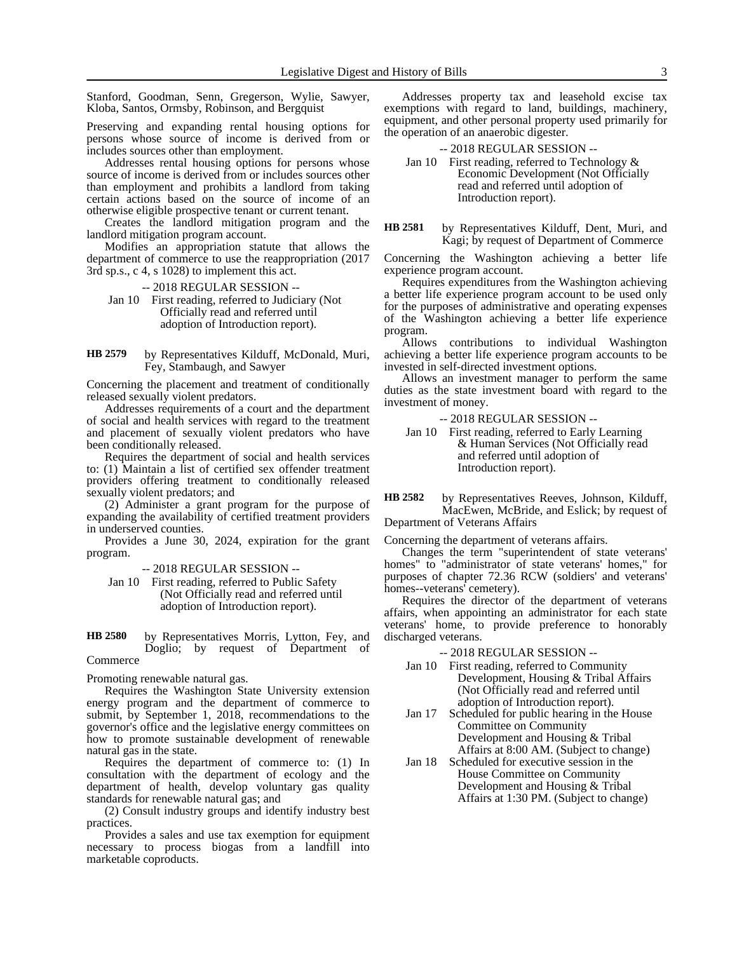Stanford, Goodman, Senn, Gregerson, Wylie, Sawyer, Kloba, Santos, Ormsby, Robinson, and Bergquist

Preserving and expanding rental housing options for persons whose source of income is derived from or includes sources other than employment.

Addresses rental housing options for persons whose source of income is derived from or includes sources other than employment and prohibits a landlord from taking certain actions based on the source of income of an otherwise eligible prospective tenant or current tenant.

Creates the landlord mitigation program and the landlord mitigation program account.

Modifies an appropriation statute that allows the department of commerce to use the reappropriation (2017 3rd sp.s., c 4, s 1028) to implement this act.

-- 2018 REGULAR SESSION --

Jan 10 First reading, referred to Judiciary (Not Officially read and referred until adoption of Introduction report).

by Representatives Kilduff, McDonald, Muri, Fey, Stambaugh, and Sawyer **HB 2579**

Concerning the placement and treatment of conditionally released sexually violent predators.

Addresses requirements of a court and the department of social and health services with regard to the treatment and placement of sexually violent predators who have been conditionally released.

Requires the department of social and health services to: (1) Maintain a list of certified sex offender treatment providers offering treatment to conditionally released sexually violent predators; and

(2) Administer a grant program for the purpose of expanding the availability of certified treatment providers in underserved counties.

Provides a June 30, 2024, expiration for the grant program.

-- 2018 REGULAR SESSION --

Jan 10 First reading, referred to Public Safety (Not Officially read and referred until adoption of Introduction report).

by Representatives Morris, Lytton, Fey, and Doglio; by request of Department of **Commerce HB 2580**

Promoting renewable natural gas.

Requires the Washington State University extension energy program and the department of commerce to submit, by September 1, 2018, recommendations to the governor's office and the legislative energy committees on how to promote sustainable development of renewable natural gas in the state.

Requires the department of commerce to: (1) In consultation with the department of ecology and the department of health, develop voluntary gas quality standards for renewable natural gas; and

(2) Consult industry groups and identify industry best practices.

Provides a sales and use tax exemption for equipment necessary to process biogas from a landfill into marketable coproducts.

Addresses property tax and leasehold excise tax exemptions with regard to land, buildings, machinery, equipment, and other personal property used primarily for the operation of an anaerobic digester.

-- 2018 REGULAR SESSION --

- Jan 10 First reading, referred to Technology & Economic Development (Not Officially read and referred until adoption of Introduction report).
- by Representatives Kilduff, Dent, Muri, and Kagi; by request of Department of Commerce **HB 2581**

Concerning the Washington achieving a better life experience program account.

Requires expenditures from the Washington achieving a better life experience program account to be used only for the purposes of administrative and operating expenses of the Washington achieving a better life experience program.

Allows contributions to individual Washington achieving a better life experience program accounts to be invested in self-directed investment options.

Allows an investment manager to perform the same duties as the state investment board with regard to the investment of money.

-- 2018 REGULAR SESSION --

Jan 10 First reading, referred to Early Learning & Human Services (Not Officially read and referred until adoption of Introduction report).

by Representatives Reeves, Johnson, Kilduff, MacEwen, McBride, and Eslick; by request of Department of Veterans Affairs **HB 2582**

Concerning the department of veterans affairs.

Changes the term "superintendent of state veterans' homes" to "administrator of state veterans' homes," for purposes of chapter 72.36 RCW (soldiers' and veterans' homes--veterans' cemetery).

Requires the director of the department of veterans affairs, when appointing an administrator for each state veterans' home, to provide preference to honorably discharged veterans.

-- 2018 REGULAR SESSION --

- Jan 10 First reading, referred to Community Development, Housing & Tribal Affairs (Not Officially read and referred until adoption of Introduction report).
- Jan 17 Scheduled for public hearing in the House Committee on Community Development and Housing & Tribal Affairs at 8:00 AM. (Subject to change)
- Jan 18 Scheduled for executive session in the House Committee on Community Development and Housing & Tribal Affairs at 1:30 PM. (Subject to change)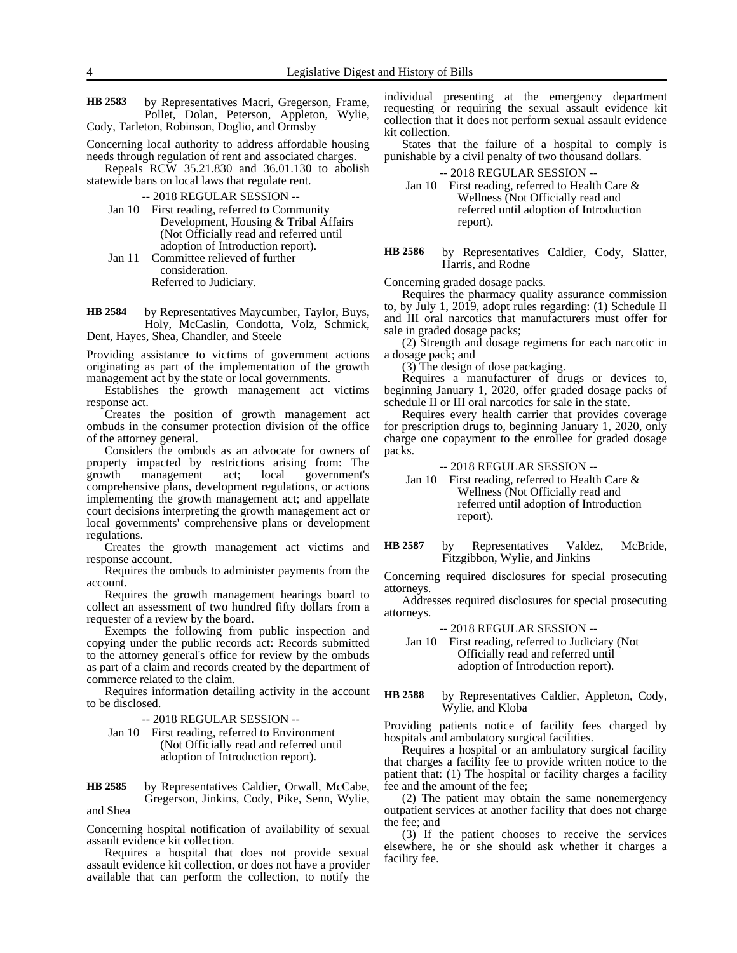by Representatives Macri, Gregerson, Frame, Pollet, Dolan, Peterson, Appleton, Wylie, Cody, Tarleton, Robinson, Doglio, and Ormsby **HB 2583**

Concerning local authority to address affordable housing needs through regulation of rent and associated charges.

Repeals RCW 35.21.830 and 36.01.130 to abolish statewide bans on local laws that regulate rent.

-- 2018 REGULAR SESSION --

- Jan 10 First reading, referred to Community Development, Housing & Tribal Affairs (Not Officially read and referred until adoption of Introduction report).
- Jan 11 Committee relieved of further consideration. Referred to Judiciary.

by Representatives Maycumber, Taylor, Buys, Holy, McCaslin, Condotta, Volz, Schmick, Dent, Hayes, Shea, Chandler, and Steele **HB 2584**

Providing assistance to victims of government actions originating as part of the implementation of the growth management act by the state or local governments.

Establishes the growth management act victims response act.

Creates the position of growth management act ombuds in the consumer protection division of the office of the attorney general.

Considers the ombuds as an advocate for owners of property impacted by restrictions arising from: The growth management act; local government's comprehensive plans, development regulations, or actions implementing the growth management act; and appellate court decisions interpreting the growth management act or local governments' comprehensive plans or development regulations.

Creates the growth management act victims and response account.

Requires the ombuds to administer payments from the account.

Requires the growth management hearings board to collect an assessment of two hundred fifty dollars from a requester of a review by the board.

Exempts the following from public inspection and copying under the public records act: Records submitted to the attorney general's office for review by the ombuds as part of a claim and records created by the department of commerce related to the claim.

Requires information detailing activity in the account to be disclosed.

-- 2018 REGULAR SESSION --

Jan 10 First reading, referred to Environment (Not Officially read and referred until adoption of Introduction report).

by Representatives Caldier, Orwall, McCabe, Gregerson, Jinkins, Cody, Pike, Senn, Wylie, **HB 2585**

and Shea

Concerning hospital notification of availability of sexual assault evidence kit collection.

Requires a hospital that does not provide sexual assault evidence kit collection, or does not have a provider available that can perform the collection, to notify the individual presenting at the emergency department requesting or requiring the sexual assault evidence kit collection that it does not perform sexual assault evidence kit collection.

States that the failure of a hospital to comply is punishable by a civil penalty of two thousand dollars.

-- 2018 REGULAR SESSION --

Jan 10 First reading, referred to Health Care & Wellness (Not Officially read and referred until adoption of Introduction report).

by Representatives Caldier, Cody, Slatter, Harris, and Rodne **HB 2586**

Concerning graded dosage packs.

Requires the pharmacy quality assurance commission to, by July 1, 2019, adopt rules regarding: (1) Schedule II and III oral narcotics that manufacturers must offer for sale in graded dosage packs;

(2) Strength and dosage regimens for each narcotic in a dosage pack; and

(3) The design of dose packaging.

Requires a manufacturer of drugs or devices to, beginning January 1, 2020, offer graded dosage packs of schedule II or III oral narcotics for sale in the state.

Requires every health carrier that provides coverage for prescription drugs to, beginning January 1, 2020, only charge one copayment to the enrollee for graded dosage packs.

### -- 2018 REGULAR SESSION --

Jan 10 First reading, referred to Health Care & Wellness (Not Officially read and referred until adoption of Introduction report).

by Representatives Valdez, McBride, Fitzgibbon, Wylie, and Jinkins **HB 2587**

Concerning required disclosures for special prosecuting attorneys.

Addresses required disclosures for special prosecuting attorneys.

-- 2018 REGULAR SESSION --

Jan 10 First reading, referred to Judiciary (Not Officially read and referred until adoption of Introduction report).

#### by Representatives Caldier, Appleton, Cody, Wylie, and Kloba **HB 2588**

Providing patients notice of facility fees charged by hospitals and ambulatory surgical facilities.

Requires a hospital or an ambulatory surgical facility that charges a facility fee to provide written notice to the patient that: (1) The hospital or facility charges a facility fee and the amount of the fee;

(2) The patient may obtain the same nonemergency outpatient services at another facility that does not charge the fee; and

(3) If the patient chooses to receive the services elsewhere, he or she should ask whether it charges a facility fee.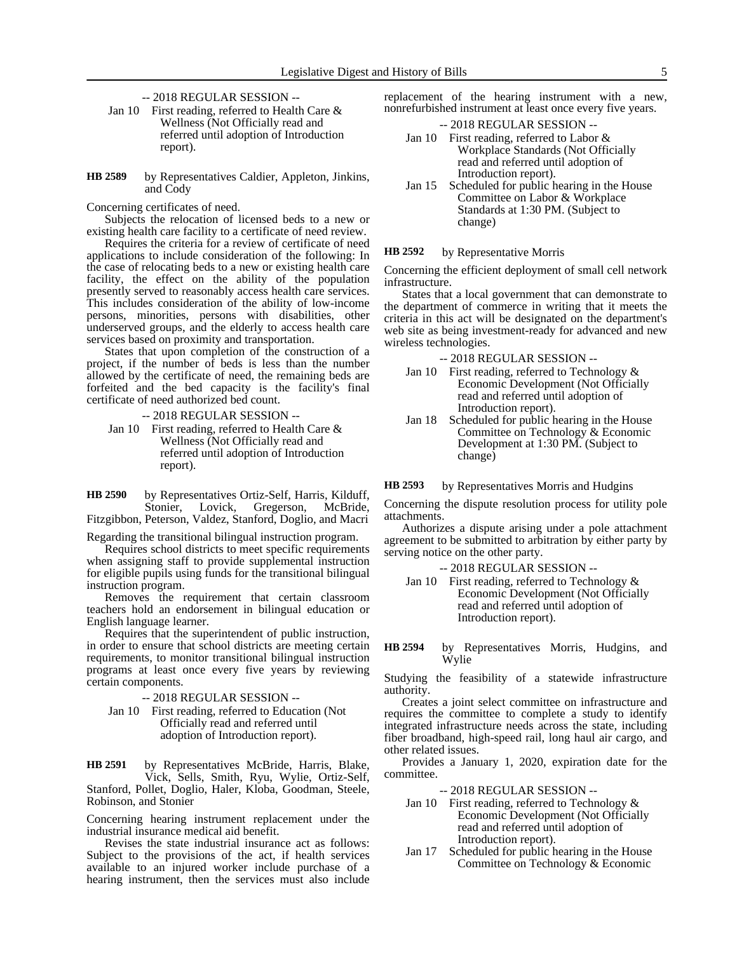- -- 2018 REGULAR SESSION --
- Jan 10 First reading, referred to Health Care & Wellness (Not Officially read and referred until adoption of Introduction report).
- by Representatives Caldier, Appleton, Jinkins, and Cody **HB 2589**
- Concerning certificates of need.

Subjects the relocation of licensed beds to a new or existing health care facility to a certificate of need review.

Requires the criteria for a review of certificate of need applications to include consideration of the following: In the case of relocating beds to a new or existing health care facility, the effect on the ability of the population presently served to reasonably access health care services. This includes consideration of the ability of low-income persons, minorities, persons with disabilities, other underserved groups, and the elderly to access health care services based on proximity and transportation.

States that upon completion of the construction of a project, if the number of beds is less than the number allowed by the certificate of need, the remaining beds are forfeited and the bed capacity is the facility's final certificate of need authorized bed count.

-- 2018 REGULAR SESSION --

Jan 10 First reading, referred to Health Care & Wellness (Not Officially read and referred until adoption of Introduction report).

by Representatives Ortiz-Self, Harris, Kilduff, Stonier, Lovick, Gregerson, McBride, Fitzgibbon, Peterson, Valdez, Stanford, Doglio, and Macri **HB 2590**

Regarding the transitional bilingual instruction program.

Requires school districts to meet specific requirements when assigning staff to provide supplemental instruction for eligible pupils using funds for the transitional bilingual instruction program.

Removes the requirement that certain classroom teachers hold an endorsement in bilingual education or English language learner.

Requires that the superintendent of public instruction, in order to ensure that school districts are meeting certain requirements, to monitor transitional bilingual instruction programs at least once every five years by reviewing certain components.

-- 2018 REGULAR SESSION --

Jan 10 First reading, referred to Education (Not Officially read and referred until adoption of Introduction report).

by Representatives McBride, Harris, Blake, Vick, Sells, Smith, Ryu, Wylie, Ortiz-Self, Stanford, Pollet, Doglio, Haler, Kloba, Goodman, Steele, Robinson, and Stonier **HB 2591**

Concerning hearing instrument replacement under the industrial insurance medical aid benefit.

Revises the state industrial insurance act as follows: Subject to the provisions of the act, if health services available to an injured worker include purchase of a hearing instrument, then the services must also include

replacement of the hearing instrument with a new, nonrefurbished instrument at least once every five years.

-- 2018 REGULAR SESSION --

- Jan 10 First reading, referred to Labor & Workplace Standards (Not Officially read and referred until adoption of Introduction report).
- Jan 15 Scheduled for public hearing in the House Committee on Labor & Workplace Standards at 1:30 PM. (Subject to change)

#### by Representative Morris **HB 2592**

Concerning the efficient deployment of small cell network infrastructure.

States that a local government that can demonstrate to the department of commerce in writing that it meets the criteria in this act will be designated on the department's web site as being investment-ready for advanced and new wireless technologies.

-- 2018 REGULAR SESSION --

- Jan 10 First reading, referred to Technology & Economic Development (Not Officially read and referred until adoption of Introduction report).
- Jan 18 Scheduled for public hearing in the House Committee on Technology & Economic Development at 1:30 PM. (Subject to change)

by Representatives Morris and Hudgins **HB 2593**

Concerning the dispute resolution process for utility pole attachments.

Authorizes a dispute arising under a pole attachment agreement to be submitted to arbitration by either party by serving notice on the other party.

- -- 2018 REGULAR SESSION --
- Jan 10 First reading, referred to Technology & Economic Development (Not Officially read and referred until adoption of Introduction report).

by Representatives Morris, Hudgins, and Wylie **HB 2594**

Studying the feasibility of a statewide infrastructure authority.

Creates a joint select committee on infrastructure and requires the committee to complete a study to identify integrated infrastructure needs across the state, including fiber broadband, high-speed rail, long haul air cargo, and other related issues.

Provides a January 1, 2020, expiration date for the committee.

-- 2018 REGULAR SESSION --

- Jan 10 First reading, referred to Technology & Economic Development (Not Officially read and referred until adoption of Introduction report).
- Jan 17 Scheduled for public hearing in the House Committee on Technology & Economic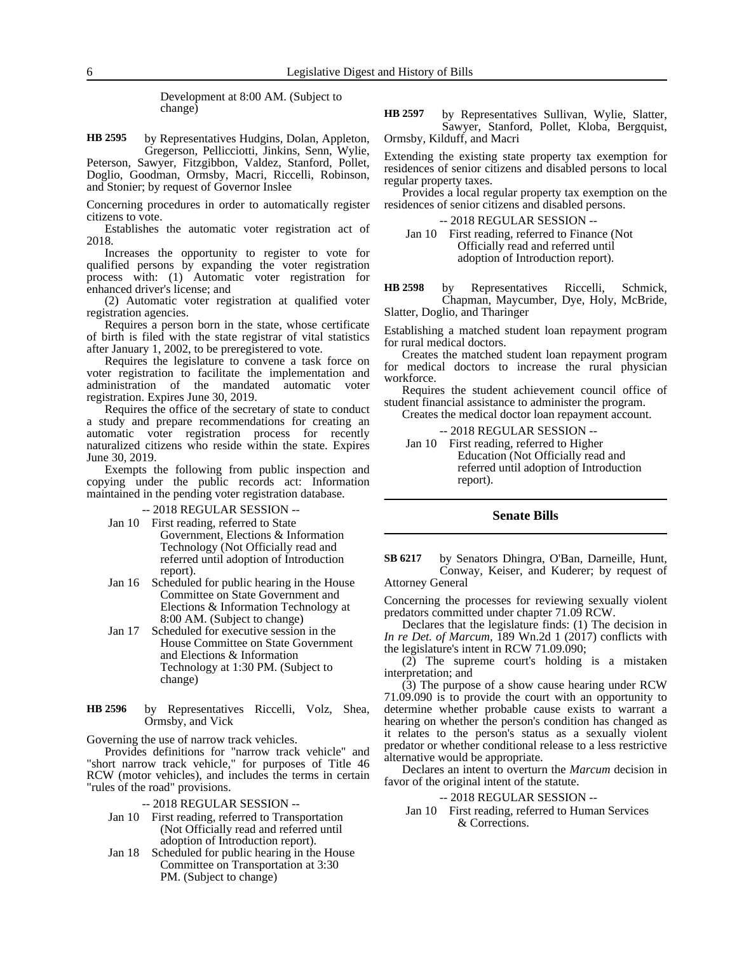Development at 8:00 AM. (Subject to change)

by Representatives Hudgins, Dolan, Appleton, Gregerson, Pellicciotti, Jinkins, Senn, Wylie, **HB 2595**

Peterson, Sawyer, Fitzgibbon, Valdez, Stanford, Pollet, Doglio, Goodman, Ormsby, Macri, Riccelli, Robinson, and Stonier; by request of Governor Inslee

Concerning procedures in order to automatically register citizens to vote.

Establishes the automatic voter registration act of 2018.

Increases the opportunity to register to vote for qualified persons by expanding the voter registration process with: (1) Automatic voter registration for enhanced driver's license; and

(2) Automatic voter registration at qualified voter registration agencies.

Requires a person born in the state, whose certificate of birth is filed with the state registrar of vital statistics after January 1, 2002, to be preregistered to vote.

Requires the legislature to convene a task force on voter registration to facilitate the implementation and administration of the mandated automatic voter registration. Expires June 30, 2019.

Requires the office of the secretary of state to conduct a study and prepare recommendations for creating an automatic voter registration process for recently naturalized citizens who reside within the state. Expires June 30, 2019.

Exempts the following from public inspection and copying under the public records act: Information maintained in the pending voter registration database.

-- 2018 REGULAR SESSION --

- Jan 10 First reading, referred to State Government, Elections & Information Technology (Not Officially read and referred until adoption of Introduction report).
- Jan 16 Scheduled for public hearing in the House Committee on State Government and Elections & Information Technology at 8:00 AM. (Subject to change)
- Jan 17 Scheduled for executive session in the House Committee on State Government and Elections & Information Technology at 1:30 PM. (Subject to change)
- by Representatives Riccelli, Volz, Shea, Ormsby, and Vick **HB 2596**

Governing the use of narrow track vehicles.

Provides definitions for "narrow track vehicle" and "short narrow track vehicle," for purposes of Title 46 RCW (motor vehicles), and includes the terms in certain "rules of the road" provisions.

-- 2018 REGULAR SESSION --

- Jan 10 First reading, referred to Transportation (Not Officially read and referred until adoption of Introduction report).
- Jan 18 Scheduled for public hearing in the House Committee on Transportation at 3:30 PM. (Subject to change)

by Representatives Sullivan, Wylie, Slatter, Sawyer, Stanford, Pollet, Kloba, Bergquist, Ormsby, Kilduff, and Macri **HB 2597**

Extending the existing state property tax exemption for residences of senior citizens and disabled persons to local regular property taxes.

Provides a local regular property tax exemption on the residences of senior citizens and disabled persons.

-- 2018 REGULAR SESSION --

Jan 10 First reading, referred to Finance (Not Officially read and referred until adoption of Introduction report).

by Representatives Riccelli, Schmick, Chapman, Maycumber, Dye, Holy, McBride, Slatter, Doglio, and Tharinger **HB 2598**

Establishing a matched student loan repayment program for rural medical doctors.

Creates the matched student loan repayment program for medical doctors to increase the rural physician workforce.

Requires the student achievement council office of student financial assistance to administer the program.

Creates the medical doctor loan repayment account.

-- 2018 REGULAR SESSION -- Jan 10 First reading, referred to Higher Education (Not Officially read and referred until adoption of Introduction report).

# **Senate Bills**

by Senators Dhingra, O'Ban, Darneille, Hunt, Conway, Keiser, and Kuderer; by request of Attorney General **SB 6217**

Concerning the processes for reviewing sexually violent predators committed under chapter 71.09 RCW.

Declares that the legislature finds: (1) The decision in *In re Det. of Marcum,* 189 Wn.2d 1 (2017) conflicts with the legislature's intent in RCW 71.09.090;

(2) The supreme court's holding is a mistaken interpretation; and

(3) The purpose of a show cause hearing under RCW 71.09.090 is to provide the court with an opportunity to determine whether probable cause exists to warrant a hearing on whether the person's condition has changed as it relates to the person's status as a sexually violent predator or whether conditional release to a less restrictive alternative would be appropriate.

Declares an intent to overturn the *Marcum* decision in favor of the original intent of the statute.

-- 2018 REGULAR SESSION --

Jan 10 First reading, referred to Human Services & Corrections.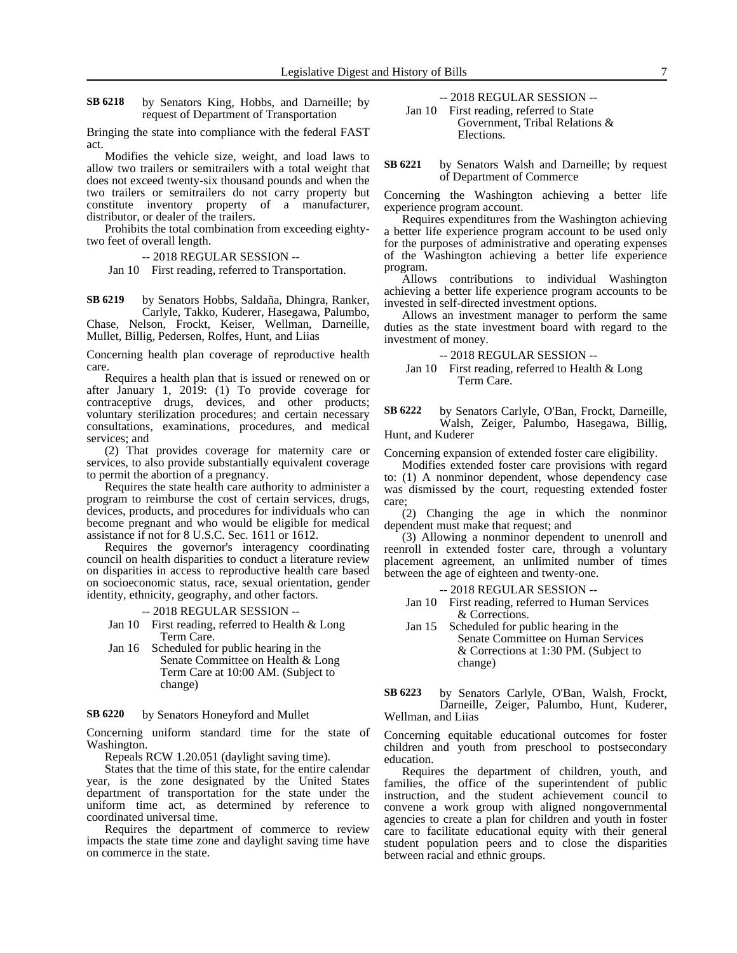by Senators King, Hobbs, and Darneille; by request of Department of Transportation **SB 6218**

Bringing the state into compliance with the federal FAST act.

Modifies the vehicle size, weight, and load laws to allow two trailers or semitrailers with a total weight that does not exceed twenty-six thousand pounds and when the two trailers or semitrailers do not carry property but constitute inventory property of a manufacturer, distributor, or dealer of the trailers.

Prohibits the total combination from exceeding eightytwo feet of overall length.

-- 2018 REGULAR SESSION --

Jan 10 First reading, referred to Transportation.

by Senators Hobbs, Saldaña, Dhingra, Ranker, Carlyle, Takko, Kuderer, Hasegawa, Palumbo, Chase, Nelson, Frockt, Keiser, Wellman, Darneille, **SB 6219**

Mullet, Billig, Pedersen, Rolfes, Hunt, and Liias

Concerning health plan coverage of reproductive health care.

Requires a health plan that is issued or renewed on or after January 1, 2019: (1) To provide coverage for contraceptive drugs, devices, and other products; voluntary sterilization procedures; and certain necessary consultations, examinations, procedures, and medical services; and

(2) That provides coverage for maternity care or services, to also provide substantially equivalent coverage to permit the abortion of a pregnancy.

Requires the state health care authority to administer a program to reimburse the cost of certain services, drugs, devices, products, and procedures for individuals who can become pregnant and who would be eligible for medical assistance if not for 8 U.S.C. Sec. 1611 or 1612.

Requires the governor's interagency coordinating council on health disparities to conduct a literature review on disparities in access to reproductive health care based on socioeconomic status, race, sexual orientation, gender identity, ethnicity, geography, and other factors.

-- 2018 REGULAR SESSION --

Jan 10 First reading, referred to Health & Long Term Care.

Jan 16 Scheduled for public hearing in the Senate Committee on Health & Long Term Care at 10:00 AM. (Subject to change)

#### by Senators Honeyford and Mullet **SB 6220**

Concerning uniform standard time for the state of Washington.

Repeals RCW 1.20.051 (daylight saving time).

States that the time of this state, for the entire calendar year, is the zone designated by the United States department of transportation for the state under the uniform time act, as determined by reference to coordinated universal time.

Requires the department of commerce to review impacts the state time zone and daylight saving time have on commerce in the state.

-- 2018 REGULAR SESSION -- Jan 10 First reading, referred to State

Government, Tribal Relations & Elections.

by Senators Walsh and Darneille; by request of Department of Commerce **SB 6221**

Concerning the Washington achieving a better life experience program account.

Requires expenditures from the Washington achieving a better life experience program account to be used only for the purposes of administrative and operating expenses of the Washington achieving a better life experience program.

Allows contributions to individual Washington achieving a better life experience program accounts to be invested in self-directed investment options.

Allows an investment manager to perform the same duties as the state investment board with regard to the investment of money.

-- 2018 REGULAR SESSION --

Jan 10 First reading, referred to Health & Long Term Care.

by Senators Carlyle, O'Ban, Frockt, Darneille, Walsh, Zeiger, Palumbo, Hasegawa, Billig, Hunt, and Kuderer **SB 6222**

Concerning expansion of extended foster care eligibility.

Modifies extended foster care provisions with regard to: (1) A nonminor dependent, whose dependency case was dismissed by the court, requesting extended foster care;

(2) Changing the age in which the nonminor dependent must make that request; and

(3) Allowing a nonminor dependent to unenroll and reenroll in extended foster care, through a voluntary placement agreement, an unlimited number of times between the age of eighteen and twenty-one.

- -- 2018 REGULAR SESSION --
- Jan 10 First reading, referred to Human Services & Corrections.
- Jan 15 Scheduled for public hearing in the Senate Committee on Human Services & Corrections at 1:30 PM. (Subject to change)
- by Senators Carlyle, O'Ban, Walsh, Frockt, Darneille, Zeiger, Palumbo, Hunt, Kuderer, Wellman, and Liias **SB 6223**

Concerning equitable educational outcomes for foster children and youth from preschool to postsecondary education.

Requires the department of children, youth, and families, the office of the superintendent of public instruction, and the student achievement council to convene a work group with aligned nongovernmental agencies to create a plan for children and youth in foster care to facilitate educational equity with their general student population peers and to close the disparities between racial and ethnic groups.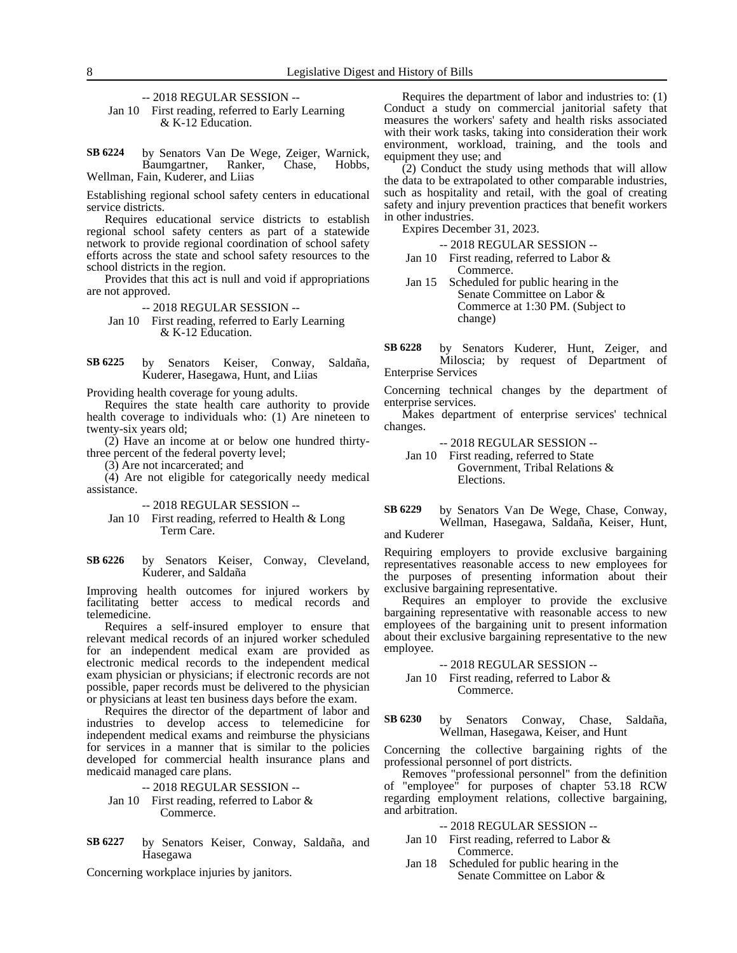-- 2018 REGULAR SESSION --

Jan 10 First reading, referred to Early Learning & K-12 Education.

by Senators Van De Wege, Zeiger, Warnick, Baumgartner, Ranker, Chase, Hobbs, Baumgartner, Ranker, Chase, Hobbs, Wellman, Fain, Kuderer, and Liias **SB 6224**

Establishing regional school safety centers in educational service districts.

Requires educational service districts to establish regional school safety centers as part of a statewide network to provide regional coordination of school safety efforts across the state and school safety resources to the school districts in the region.

Provides that this act is null and void if appropriations are not approved.

-- 2018 REGULAR SESSION --

Jan 10 First reading, referred to Early Learning & K-12 Education.

by Senators Keiser, Conway, Saldaña, Kuderer, Hasegawa, Hunt, and Liias **SB 6225**

Providing health coverage for young adults.

Requires the state health care authority to provide health coverage to individuals who: (1) Are nineteen to twenty-six years old;

(2) Have an income at or below one hundred thirtythree percent of the federal poverty level;

(3) Are not incarcerated; and

(4) Are not eligible for categorically needy medical assistance.

-- 2018 REGULAR SESSION --

Jan 10 First reading, referred to Health & Long Term Care.

by Senators Keiser, Conway, Cleveland, Kuderer, and Saldaña **SB 6226**

Improving health outcomes for injured workers by facilitating better access to medical records and telemedicine.

Requires a self-insured employer to ensure that relevant medical records of an injured worker scheduled for an independent medical exam are provided as electronic medical records to the independent medical exam physician or physicians; if electronic records are not possible, paper records must be delivered to the physician or physicians at least ten business days before the exam.

Requires the director of the department of labor and industries to develop access to telemedicine for independent medical exams and reimburse the physicians for services in a manner that is similar to the policies developed for commercial health insurance plans and medicaid managed care plans.

-- 2018 REGULAR SESSION --

- Jan 10 First reading, referred to Labor & Commerce.
- by Senators Keiser, Conway, Saldaña, and Hasegawa **SB 6227**

Concerning workplace injuries by janitors.

Requires the department of labor and industries to: (1) Conduct a study on commercial janitorial safety that measures the workers' safety and health risks associated with their work tasks, taking into consideration their work environment, workload, training, and the tools and equipment they use; and

 $(2)$  Conduct the study using methods that will allow the data to be extrapolated to other comparable industries, such as hospitality and retail, with the goal of creating safety and injury prevention practices that benefit workers in other industries.

Expires December 31, 2023.

-- 2018 REGULAR SESSION --

- Jan 10 First reading, referred to Labor & Commerce.
- Jan 15 Scheduled for public hearing in the Senate Committee on Labor & Commerce at 1:30 PM. (Subject to change)

by Senators Kuderer, Hunt, Zeiger, and Miloscia; by request of Department of Enterprise Services **SB 6228**

Concerning technical changes by the department of enterprise services.

Makes department of enterprise services' technical changes.

-- 2018 REGULAR SESSION --

Jan 10 First reading, referred to State Government, Tribal Relations & Elections.

by Senators Van De Wege, Chase, Conway, Wellman, Hasegawa, Saldaña, Keiser, Hunt, and Kuderer **SB 6229**

Requiring employers to provide exclusive bargaining representatives reasonable access to new employees for the purposes of presenting information about their exclusive bargaining representative.

Requires an employer to provide the exclusive bargaining representative with reasonable access to new employees of the bargaining unit to present information about their exclusive bargaining representative to the new employee.

### -- 2018 REGULAR SESSION --

Jan 10 First reading, referred to Labor & Commerce.

by Senators Conway, Chase, Saldaña, Wellman, Hasegawa, Keiser, and Hunt **SB 6230**

Concerning the collective bargaining rights of the professional personnel of port districts.

Removes "professional personnel" from the definition of "employee" for purposes of chapter 53.18 RCW regarding employment relations, collective bargaining, and arbitration.

- -- 2018 REGULAR SESSION --
- Jan 10 First reading, referred to Labor & Commerce.
- Jan 18 Scheduled for public hearing in the Senate Committee on Labor &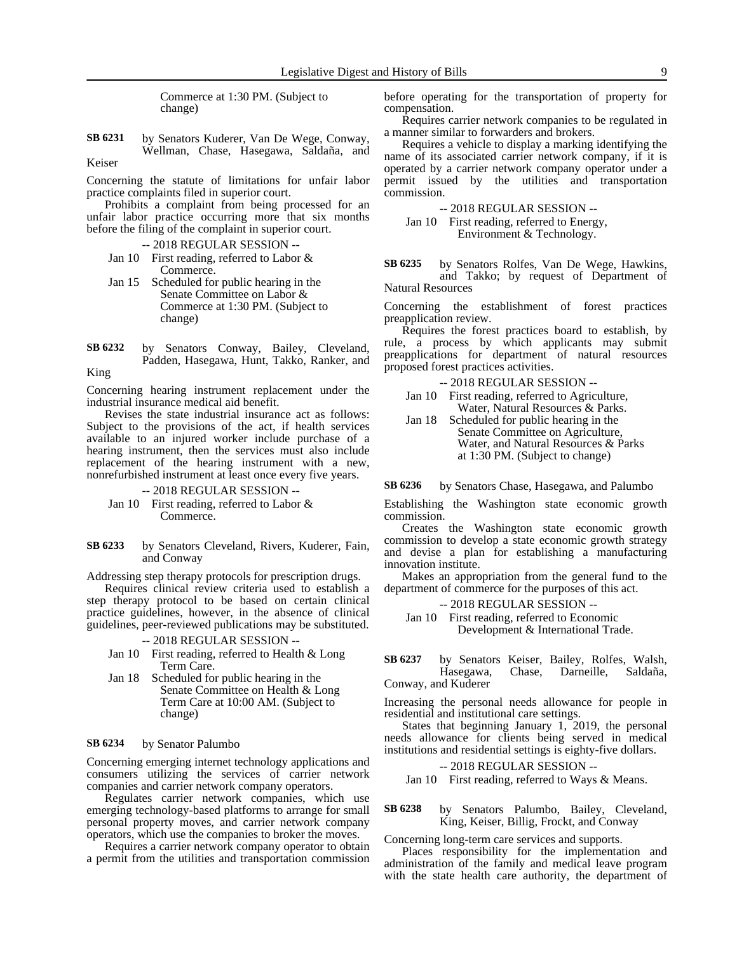Commerce at 1:30 PM. (Subject to change)

by Senators Kuderer, Van De Wege, Conway, Wellman, Chase, Hasegawa, Saldaña, and Keiser **SB 6231**

Concerning the statute of limitations for unfair labor practice complaints filed in superior court.

Prohibits a complaint from being processed for an unfair labor practice occurring more that six months before the filing of the complaint in superior court.

-- 2018 REGULAR SESSION --

- Jan 10 First reading, referred to Labor & Commerce.
- Jan 15 Scheduled for public hearing in the Senate Committee on Labor & Commerce at 1:30 PM. (Subject to change)
- by Senators Conway, Bailey, Cleveland, Padden, Hasegawa, Hunt, Takko, Ranker, and King **SB 6232**

Concerning hearing instrument replacement under the industrial insurance medical aid benefit.

Revises the state industrial insurance act as follows: Subject to the provisions of the act, if health services available to an injured worker include purchase of a hearing instrument, then the services must also include replacement of the hearing instrument with a new, nonrefurbished instrument at least once every five years.

-- 2018 REGULAR SESSION -- Jan 10 First reading, referred to Labor & Commerce.

by Senators Cleveland, Rivers, Kuderer, Fain, and Conway **SB 6233**

Addressing step therapy protocols for prescription drugs.

Requires clinical review criteria used to establish a step therapy protocol to be based on certain clinical practice guidelines, however, in the absence of clinical guidelines, peer-reviewed publications may be substituted.

-- 2018 REGULAR SESSION --

- Jan 10 First reading, referred to Health & Long Term Care.
- Jan 18 Scheduled for public hearing in the Senate Committee on Health & Long Term Care at 10:00 AM. (Subject to change)

#### by Senator Palumbo **SB 6234**

Concerning emerging internet technology applications and consumers utilizing the services of carrier network companies and carrier network company operators.

Regulates carrier network companies, which use emerging technology-based platforms to arrange for small personal property moves, and carrier network company operators, which use the companies to broker the moves.

Requires a carrier network company operator to obtain a permit from the utilities and transportation commission before operating for the transportation of property for compensation.

Requires carrier network companies to be regulated in a manner similar to forwarders and brokers.

Requires a vehicle to display a marking identifying the name of its associated carrier network company, if it is operated by a carrier network company operator under a permit issued by the utilities and transportation commission.

## -- 2018 REGULAR SESSION -- Jan 10 First reading, referred to Energy, Environment & Technology.

by Senators Rolfes, Van De Wege, Hawkins, and Takko; by request of Department of Natural Resources **SB 6235**

Concerning the establishment of forest practices preapplication review.

Requires the forest practices board to establish, by rule, a process by which applicants may submit preapplications for department of natural resources proposed forest practices activities.

-- 2018 REGULAR SESSION --

Jan 10 First reading, referred to Agriculture, Water, Natural Resources & Parks.

Jan 18 Scheduled for public hearing in the Senate Committee on Agriculture, Water, and Natural Resources & Parks at 1:30 PM. (Subject to change)

by Senators Chase, Hasegawa, and Palumbo **SB 6236**

Establishing the Washington state economic growth commission.

Creates the Washington state economic growth commission to develop a state economic growth strategy and devise a plan for establishing a manufacturing innovation institute.

Makes an appropriation from the general fund to the department of commerce for the purposes of this act.

-- 2018 REGULAR SESSION --

Jan 10 First reading, referred to Economic Development & International Trade.

by Senators Keiser, Bailey, Rolfes, Walsh, Hasegawa, Chase, Darneille, Saldaña, Conway, and Kuderer **SB 6237**

Increasing the personal needs allowance for people in residential and institutional care settings.

States that beginning January 1, 2019, the personal needs allowance for clients being served in medical institutions and residential settings is eighty-five dollars.

-- 2018 REGULAR SESSION --

Jan 10 First reading, referred to Ways & Means.

by Senators Palumbo, Bailey, Cleveland, King, Keiser, Billig, Frockt, and Conway **SB 6238**

Concerning long-term care services and supports.

Places responsibility for the implementation and administration of the family and medical leave program with the state health care authority, the department of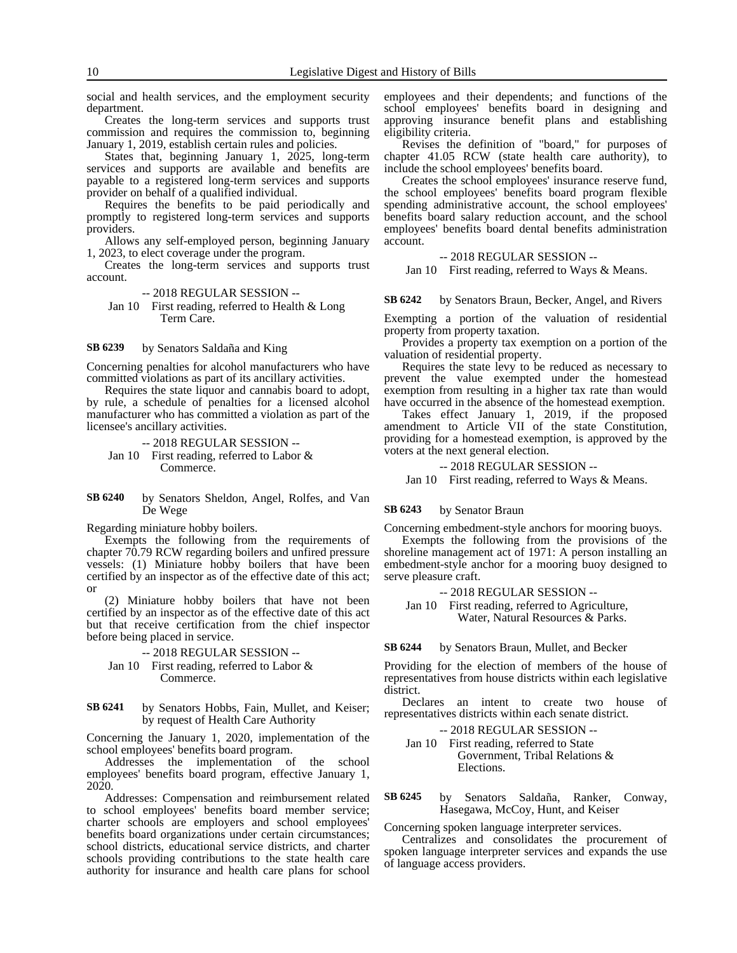social and health services, and the employment security department.

Creates the long-term services and supports trust commission and requires the commission to, beginning January 1, 2019, establish certain rules and policies.

States that, beginning January 1, 2025, long-term services and supports are available and benefits are payable to a registered long-term services and supports provider on behalf of a qualified individual.

Requires the benefits to be paid periodically and promptly to registered long-term services and supports providers.

Allows any self-employed person, beginning January 1, 2023, to elect coverage under the program.

Creates the long-term services and supports trust account.

-- 2018 REGULAR SESSION -- Jan 10 First reading, referred to Health & Long

Term Care.

by Senators Saldaña and King **SB 6239**

Concerning penalties for alcohol manufacturers who have committed violations as part of its ancillary activities.

Requires the state liquor and cannabis board to adopt, by rule, a schedule of penalties for a licensed alcohol manufacturer who has committed a violation as part of the licensee's ancillary activities.

-- 2018 REGULAR SESSION -- Jan 10 First reading, referred to Labor & Commerce.

by Senators Sheldon, Angel, Rolfes, and Van De Wege **SB 6240**

Regarding miniature hobby boilers.

Exempts the following from the requirements of chapter 70.79 RCW regarding boilers and unfired pressure vessels: (1) Miniature hobby boilers that have been certified by an inspector as of the effective date of this act; or

(2) Miniature hobby boilers that have not been certified by an inspector as of the effective date of this act but that receive certification from the chief inspector before being placed in service.

-- 2018 REGULAR SESSION --

- Jan 10 First reading, referred to Labor & Commerce.
- by Senators Hobbs, Fain, Mullet, and Keiser; by request of Health Care Authority **SB 6241**

Concerning the January 1, 2020, implementation of the school employees' benefits board program.

Addresses the implementation of the school employees' benefits board program, effective January 1, 2020.

Addresses: Compensation and reimbursement related to school employees' benefits board member service; charter schools are employers and school employees' benefits board organizations under certain circumstances; school districts, educational service districts, and charter schools providing contributions to the state health care authority for insurance and health care plans for school

employees and their dependents; and functions of the school employees' benefits board in designing and approving insurance benefit plans and establishing eligibility criteria.

Revises the definition of "board," for purposes of chapter 41.05 RCW (state health care authority), to include the school employees' benefits board.

Creates the school employees' insurance reserve fund, the school employees' benefits board program flexible spending administrative account, the school employees' benefits board salary reduction account, and the school employees' benefits board dental benefits administration account.

-- 2018 REGULAR SESSION --

Jan 10 First reading, referred to Ways & Means.

by Senators Braun, Becker, Angel, and Rivers **SB 6242**

Exempting a portion of the valuation of residential property from property taxation.

Provides a property tax exemption on a portion of the valuation of residential property.

Requires the state levy to be reduced as necessary to prevent the value exempted under the homestead exemption from resulting in a higher tax rate than would have occurred in the absence of the homestead exemption.

Takes effect January 1, 2019, if the proposed amendment to Article VII of the state Constitution, providing for a homestead exemption, is approved by the voters at the next general election.

-- 2018 REGULAR SESSION --

Jan 10 First reading, referred to Ways & Means.

by Senator Braun **SB 6243**

Concerning embedment-style anchors for mooring buoys.

Exempts the following from the provisions of the shoreline management act of 1971: A person installing an embedment-style anchor for a mooring buoy designed to serve pleasure craft.

-- 2018 REGULAR SESSION --

Jan 10 First reading, referred to Agriculture, Water, Natural Resources & Parks.

by Senators Braun, Mullet, and Becker **SB 6244**

Providing for the election of members of the house of representatives from house districts within each legislative district.

Declares an intent to create two house of representatives districts within each senate district.

-- 2018 REGULAR SESSION -- Jan 10 First reading, referred to State Government, Tribal Relations & Elections.

by Senators Saldaña, Ranker, Conway, Hasegawa, McCoy, Hunt, and Keiser **SB 6245**

Concerning spoken language interpreter services.

Centralizes and consolidates the procurement of spoken language interpreter services and expands the use of language access providers.